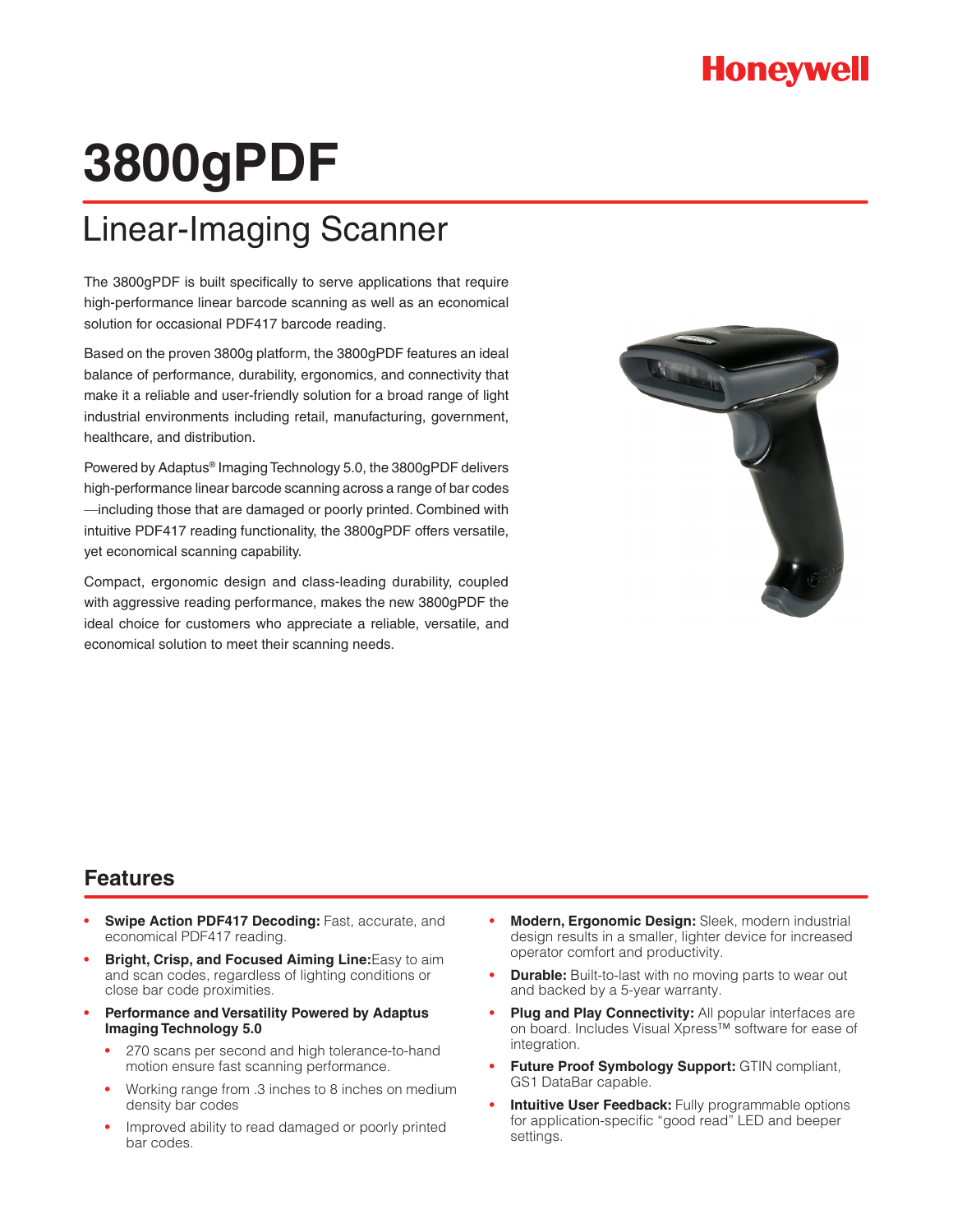## **Honeywell**

# **3800gPDF**

## Linear-Imaging Scanner

The 3800gPDF is built specifically to serve applications that require high-performance linear barcode scanning as well as an economical solution for occasional PDF417 barcode reading.

Based on the proven 3800g platform, the 3800gPDF features an ideal balance of performance, durability, ergonomics, and connectivity that make it a reliable and user-friendly solution for a broad range of light industrial environments including retail, manufacturing, government, healthcare, and distribution.

Powered by Adaptus® Imaging Technology 5.0, the 3800gPDF delivers high-performance linear barcode scanning across a range of bar codes —including those that are damaged or poorly printed. Combined with intuitive PDF417 reading functionality, the 3800gPDF offers versatile, yet economical scanning capability.

Compact, ergonomic design and class-leading durability, coupled with aggressive reading performance, makes the new 3800gPDF the ideal choice for customers who appreciate a reliable, versatile, and economical solution to meet their scanning needs.



### **Features**

- **• Swipe Action PDF417 Decoding:** Fast, accurate, and economical PDF417 reading.
- **• Bright, Crisp, and Focused Aiming Line:**Easy to aim and scan codes, regardless of lighting conditions or close bar code proximities.
- **• Performance and Versatility Powered by Adaptus Imaging Technology 5.0**
	- 270 scans per second and high tolerance-to-hand motion ensure fast scanning performance.
	- **•**  Working range from .3 inches to 8 inches on medium density bar codes
	- Improved ability to read damaged or poorly printed bar codes.
- **• Modern, Ergonomic Design:** Sleek, modern industrial design results in a smaller, lighter device for increased operator comfort and productivity.
- **Durable:** Built-to-last with no moving parts to wear out and backed by a 5-year warranty.
- **• Plug and Play Connectivity:** All popular interfaces are on board. Includes Visual Xpress™ software for ease of integration.
- **• Future Proof Symbology Support:** GTIN compliant, GS1 DataBar capable.
- **Intuitive User Feedback:** Fully programmable options for application-specific "good read" LED and beeper settings.